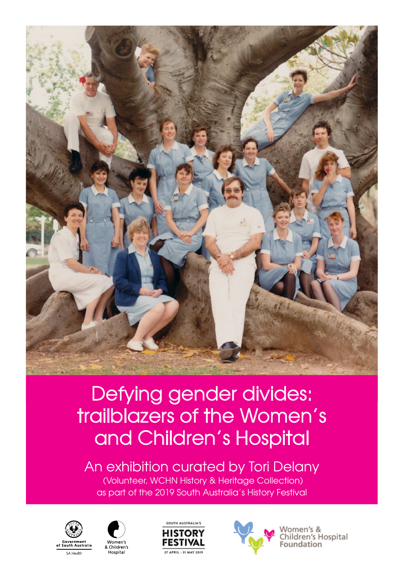

## Defying gender divides: trailblazers of the Women's and Children's Hospital

An exhibition curated by Tori Delany (Volunteer, WCHN History & Heritage Collection) as part of the 2019 South Australia's History Festival









Women's &<br>Children's Hospital Foundation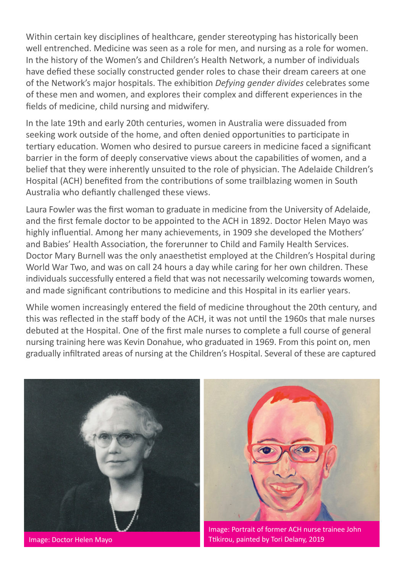Within certain key disciplines of healthcare, gender stereotyping has historically been well entrenched. Medicine was seen as a role for men, and nursing as a role for women. In the history of the Women's and Children's Health Network, a number of individuals have defied these socially constructed gender roles to chase their dream careers at one of the Network's major hospitals. The exhibition *Defying gender divides* celebrates some of these men and women, and explores their complex and different experiences in the fields of medicine, child nursing and midwifery.

In the late 19th and early 20th centuries, women in Australia were dissuaded from seeking work outside of the home, and often denied opportunities to participate in tertiary education. Women who desired to pursue careers in medicine faced a significant barrier in the form of deeply conservative views about the capabilities of women, and a belief that they were inherently unsuited to the role of physician. The Adelaide Children's Hospital (ACH) benefited from the contributions of some trailblazing women in South Australia who defiantly challenged these views.

Laura Fowler was the first woman to graduate in medicine from the University of Adelaide, and the first female doctor to be appointed to the ACH in 1892. Doctor Helen Mayo was highly influential. Among her many achievements, in 1909 she developed the Mothers' and Babies' Health Association, the forerunner to Child and Family Health Services. Doctor Mary Burnell was the only anaesthetist employed at the Children's Hospital during World War Two, and was on call 24 hours a day while caring for her own children. These individuals successfully entered a field that was not necessarily welcoming towards women, and made significant contributions to medicine and this Hospital in its earlier years.

While women increasingly entered the field of medicine throughout the 20th century, and this was reflected in the staff body of the ACH, it was not until the 1960s that male nurses debuted at the Hospital. One of the first male nurses to complete a full course of general nursing training here was Kevin Donahue, who graduated in 1969. From this point on, men gradually infiltrated areas of nursing at the Children's Hospital. Several of these are captured



Image: Doctor Helen Mayo



Image: Portrait of former ACH nurse trainee John Ttikirou, painted by Tori Delany, 2019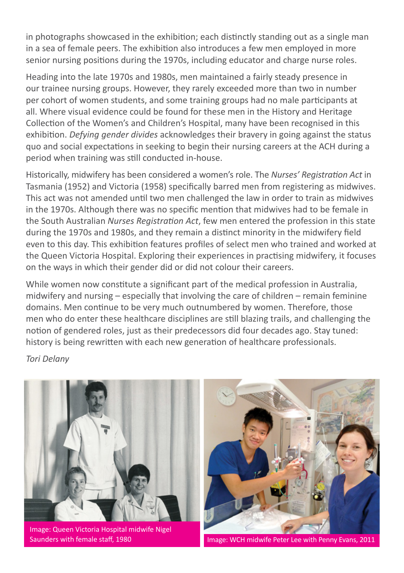in photographs showcased in the exhibition; each distinctly standing out as a single man in a sea of female peers. The exhibition also introduces a few men employed in more senior nursing positions during the 1970s, including educator and charge nurse roles.

Heading into the late 1970s and 1980s, men maintained a fairly steady presence in our trainee nursing groups. However, they rarely exceeded more than two in number per cohort of women students, and some training groups had no male participants at all. Where visual evidence could be found for these men in the History and Heritage Collection of the Women's and Children's Hospital, many have been recognised in this exhibition. *Defying gender divides* acknowledges their bravery in going against the status quo and social expectations in seeking to begin their nursing careers at the ACH during a period when training was still conducted in-house.

Historically, midwifery has been considered a women's role. The *Nurses' Registration Act* in Tasmania (1952) and Victoria (1958) specifically barred men from registering as midwives. This act was not amended until two men challenged the law in order to train as midwives in the 1970s. Although there was no specific mention that midwives had to be female in the South Australian *Nurses Registration Act*, few men entered the profession in this state during the 1970s and 1980s, and they remain a distinct minority in the midwifery field even to this day. This exhibition features profiles of select men who trained and worked at the Queen Victoria Hospital. Exploring their experiences in practising midwifery, it focuses on the ways in which their gender did or did not colour their careers.

While women now constitute a significant part of the medical profession in Australia, midwifery and nursing – especially that involving the care of children – remain feminine domains. Men continue to be very much outnumbered by women. Therefore, those men who do enter these healthcare disciplines are still blazing trails, and challenging the notion of gendered roles, just as their predecessors did four decades ago. Stay tuned: history is being rewritten with each new generation of healthcare professionals.

*Tori Delany*



Image: Queen Victoria Hospital midwife Nigel



Saunders with female staff, 1980 **Image: WCH midwife Peter Lee with Penny Evans, 2011**